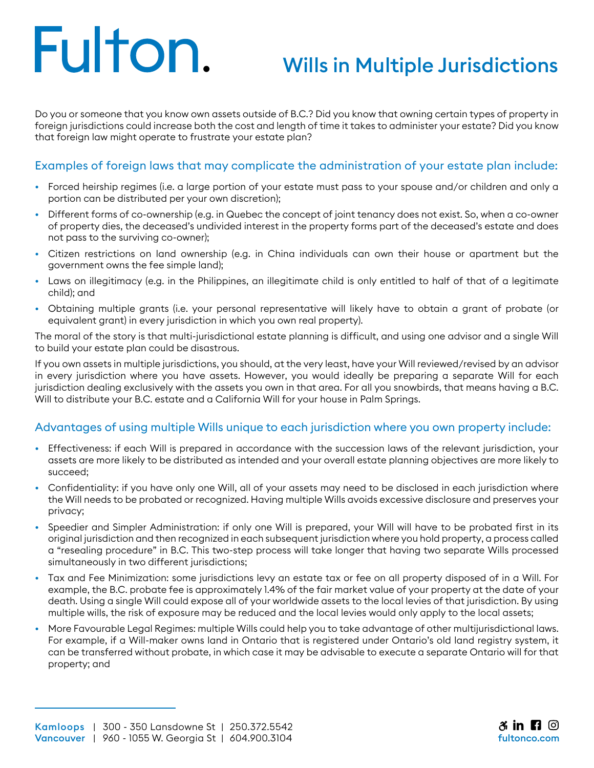# Fulton.

### Wills in Multiple Jurisdictions

Do you or someone that you know own assets outside of B.C.? Did you know that owning certain types of property in foreign jurisdictions could increase both the cost and length of time it takes to administer your estate? Did you know that foreign law might operate to frustrate your estate plan?

#### Examples of foreign laws that may complicate the administration of your estate plan include:

- Forced heirship regimes (i.e. a large portion of your estate must pass to your spouse and/or children and only a portion can be distributed per your own discretion);
- Different forms of co-ownership (e.g. in Quebec the concept of joint tenancy does not exist. So, when a co-owner of property dies, the deceased's undivided interest in the property forms part of the deceased's estate and does not pass to the surviving co-owner);
- Citizen restrictions on land ownership (e.g. in China individuals can own their house or apartment but the government owns the fee simple land);
- Laws on illegitimacy (e.g. in the Philippines, an illegitimate child is only entitled to half of that of a legitimate child); and
- Obtaining multiple grants (i.e. your personal representative will likely have to obtain a grant of probate (or equivalent grant) in every jurisdiction in which you own real property).

The moral of the story is that multi-jurisdictional estate planning is difficult, and using one advisor and a single Will to build your estate plan could be disastrous.

If you own assets in multiple jurisdictions, you should, at the very least, have your Will reviewed/revised by an advisor in every jurisdiction where you have assets. However, you would ideally be preparing a separate Will for each jurisdiction dealing exclusively with the assets you own in that area. For all you snowbirds, that means having a B.C. Will to distribute your B.C. estate and a California Will for your house in Palm Springs.

#### Advantages of using multiple Wills unique to each jurisdiction where you own property include:

- Effectiveness: if each Will is prepared in accordance with the succession laws of the relevant jurisdiction, your assets are more likely to be distributed as intended and your overall estate planning objectives are more likely to succeed;
- Confidentiality: if you have only one Will, all of your assets may need to be disclosed in each jurisdiction where the Will needs to be probated or recognized. Having multiple Wills avoids excessive disclosure and preserves your privacy;
- Speedier and Simpler Administration: if only one Will is prepared, your Will will have to be probated first in its original jurisdiction and then recognized in each subsequent jurisdiction where you hold property, a process called a "resealing procedure" in B.C. This two-step process will take longer that having two separate Wills processed simultaneously in two different jurisdictions;
- Tax and Fee Minimization: some jurisdictions levy an estate tax or fee on all property disposed of in a Will. For example, the B.C. probate fee is approximately 1.4% of the fair market value of your property at the date of your death. Using a single Will could expose all of your worldwide assets to the local levies of that jurisdiction. By using multiple wills, the risk of exposure may be reduced and the local levies would only apply to the local assets;
- More Favourable Legal Regimes: multiple Wills could help you to take advantage of other multijurisdictional laws. For example, if a Will-maker owns land in Ontario that is registered under Ontario's old land registry system, it can be transferred without probate, in which case it may be advisable to execute a separate Ontario will for that property; and